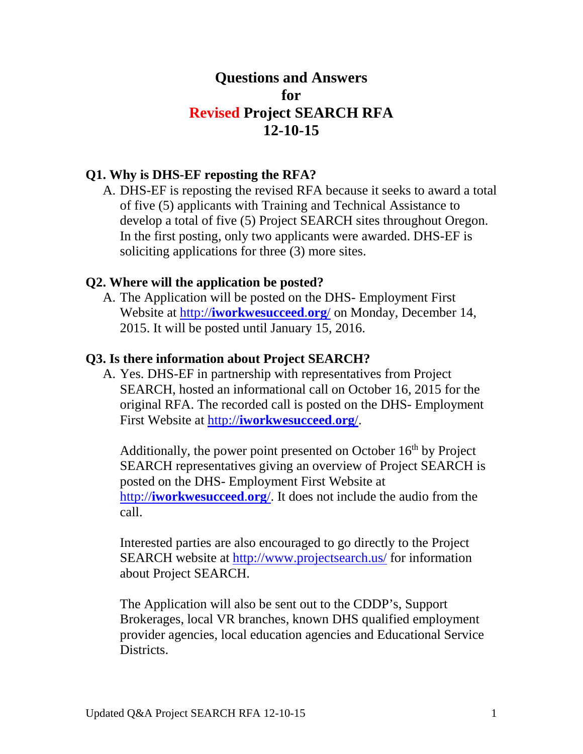# **Questions and Answers for Revised Project SEARCH RFA 12-10-15**

# **Q1. Why is DHS-EF reposting the RFA?**

A. DHS-EF is reposting the revised RFA because it seeks to award a total of five (5) applicants with Training and Technical Assistance to develop a total of five (5) Project SEARCH sites throughout Oregon. In the first posting, only two applicants were awarded. DHS-EF is soliciting applications for three (3) more sites.

# **Q2. Where will the application be posted?**

A. The Application will be posted on the DHS- Employment First Website at http://**iworkwesucceed**.**org**/ on Monday, December 14, 2015. It will be posted until January 15, 2016.

# **Q3. Is there information about Project SEARCH?**

A. Yes. DHS-EF in partnership with representatives from Project SEARCH, hosted an informational call on October 16, 2015 for the original RFA. The recorded call is posted on the DHS- Employment First Website at http://**iworkwesucceed**.**org**/.

Additionally, the power point presented on October  $16<sup>th</sup>$  by Project SEARCH representatives giving an overview of Project SEARCH is posted on the DHS- Employment First Website at http://**iworkwesucceed**.**org**/. It does not include the audio from the call.

Interested parties are also encouraged to go directly to the Project SEARCH website at http://www.projectsearch.us/ for information about Project SEARCH.

The Application will also be sent out to the CDDP's, Support Brokerages, local VR branches, known DHS qualified employment provider agencies, local education agencies and Educational Service Districts.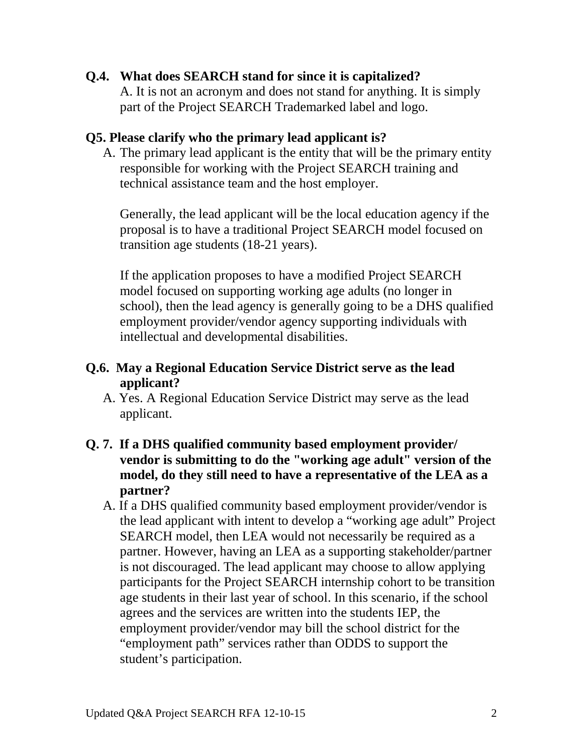# **Q.4. What does SEARCH stand for since it is capitalized?**

A. It is not an acronym and does not stand for anything. It is simply part of the Project SEARCH Trademarked label and logo.

#### **Q5. Please clarify who the primary lead applicant is?**

A. The primary lead applicant is the entity that will be the primary entity responsible for working with the Project SEARCH training and technical assistance team and the host employer.

Generally, the lead applicant will be the local education agency if the proposal is to have a traditional Project SEARCH model focused on transition age students (18-21 years).

If the application proposes to have a modified Project SEARCH model focused on supporting working age adults (no longer in school), then the lead agency is generally going to be a DHS qualified employment provider/vendor agency supporting individuals with intellectual and developmental disabilities.

# **Q.6. May a Regional Education Service District serve as the lead applicant?**

- A. Yes. A Regional Education Service District may serve as the lead applicant.
- **Q. 7. If a DHS qualified community based employment provider/ vendor is submitting to do the "working age adult" version of the model, do they still need to have a representative of the LEA as a partner?** 
	- A. If a DHS qualified community based employment provider/vendor is the lead applicant with intent to develop a "working age adult" Project SEARCH model, then LEA would not necessarily be required as a partner. However, having an LEA as a supporting stakeholder/partner is not discouraged. The lead applicant may choose to allow applying participants for the Project SEARCH internship cohort to be transition age students in their last year of school. In this scenario, if the school agrees and the services are written into the students IEP, the employment provider/vendor may bill the school district for the "employment path" services rather than ODDS to support the student's participation.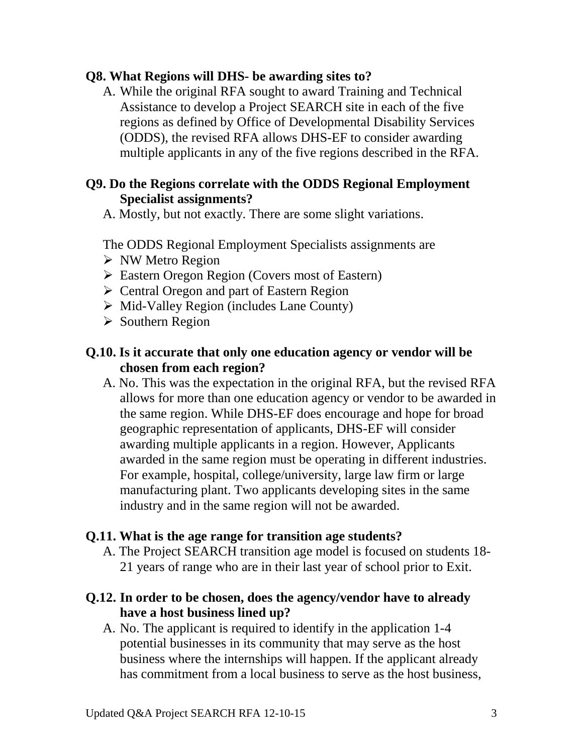#### **Q8. What Regions will DHS- be awarding sites to?**

A. While the original RFA sought to award Training and Technical Assistance to develop a Project SEARCH site in each of the five regions as defined by Office of Developmental Disability Services (ODDS), the revised RFA allows DHS-EF to consider awarding multiple applicants in any of the five regions described in the RFA.

#### **Q9. Do the Regions correlate with the ODDS Regional Employment Specialist assignments?**

A. Mostly, but not exactly. There are some slight variations.

The ODDS Regional Employment Specialists assignments are

- $\triangleright$  NW Metro Region
- Eastern Oregon Region (Covers most of Eastern)
- $\triangleright$  Central Oregon and part of Eastern Region
- $\triangleright$  Mid-Valley Region (includes Lane County)
- $\triangleright$  Southern Region

# **Q.10. Is it accurate that only one education agency or vendor will be chosen from each region?**

A. No. This was the expectation in the original RFA, but the revised RFA allows for more than one education agency or vendor to be awarded in the same region. While DHS-EF does encourage and hope for broad geographic representation of applicants, DHS-EF will consider awarding multiple applicants in a region. However, Applicants awarded in the same region must be operating in different industries. For example, hospital, college/university, large law firm or large manufacturing plant. Two applicants developing sites in the same industry and in the same region will not be awarded.

#### **Q.11. What is the age range for transition age students?**

- A. The Project SEARCH transition age model is focused on students 18- 21 years of range who are in their last year of school prior to Exit.
- **Q.12. In order to be chosen, does the agency/vendor have to already have a host business lined up?** 
	- A. No. The applicant is required to identify in the application 1-4 potential businesses in its community that may serve as the host business where the internships will happen. If the applicant already has commitment from a local business to serve as the host business,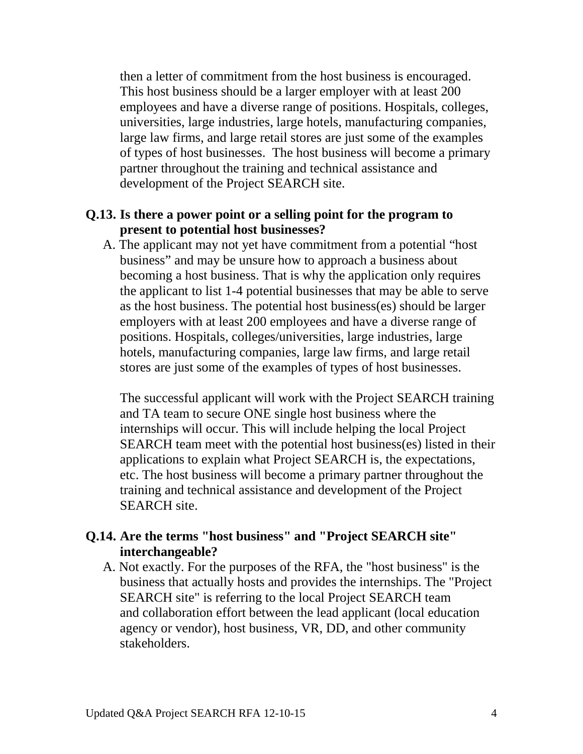then a letter of commitment from the host business is encouraged. This host business should be a larger employer with at least 200 employees and have a diverse range of positions. Hospitals, colleges, universities, large industries, large hotels, manufacturing companies, large law firms, and large retail stores are just some of the examples of types of host businesses. The host business will become a primary partner throughout the training and technical assistance and development of the Project SEARCH site.

# **Q.13. Is there a power point or a selling point for the program to present to potential host businesses?**

A. The applicant may not yet have commitment from a potential "host business" and may be unsure how to approach a business about becoming a host business. That is why the application only requires the applicant to list 1-4 potential businesses that may be able to serve as the host business. The potential host business(es) should be larger employers with at least 200 employees and have a diverse range of positions. Hospitals, colleges/universities, large industries, large hotels, manufacturing companies, large law firms, and large retail stores are just some of the examples of types of host businesses.

The successful applicant will work with the Project SEARCH training and TA team to secure ONE single host business where the internships will occur. This will include helping the local Project SEARCH team meet with the potential host business(es) listed in their applications to explain what Project SEARCH is, the expectations, etc. The host business will become a primary partner throughout the training and technical assistance and development of the Project SEARCH site.

# **Q.14. Are the terms "host business" and "Project SEARCH site" interchangeable?**

A. Not exactly. For the purposes of the RFA, the "host business" is the business that actually hosts and provides the internships. The "Project SEARCH site" is referring to the local Project SEARCH team and collaboration effort between the lead applicant (local education agency or vendor), host business, VR, DD, and other community stakeholders.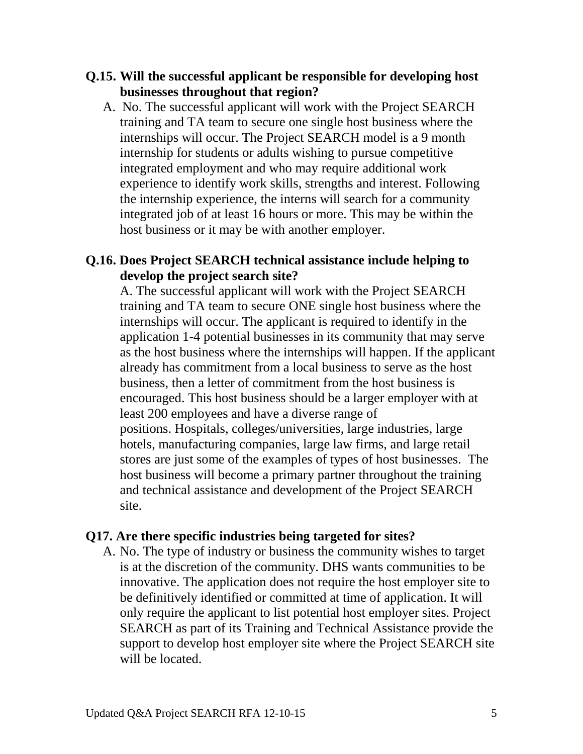- **Q.15. Will the successful applicant be responsible for developing host businesses throughout that region?** 
	- A. No. The successful applicant will work with the Project SEARCH training and TA team to secure one single host business where the internships will occur. The Project SEARCH model is a 9 month internship for students or adults wishing to pursue competitive integrated employment and who may require additional work experience to identify work skills, strengths and interest. Following the internship experience, the interns will search for a community integrated job of at least 16 hours or more. This may be within the host business or it may be with another employer.

# **Q.16. Does Project SEARCH technical assistance include helping to develop the project search site?**

A. The successful applicant will work with the Project SEARCH training and TA team to secure ONE single host business where the internships will occur. The applicant is required to identify in the application 1-4 potential businesses in its community that may serve as the host business where the internships will happen. If the applicant already has commitment from a local business to serve as the host business, then a letter of commitment from the host business is encouraged. This host business should be a larger employer with at least 200 employees and have a diverse range of positions. Hospitals, colleges/universities, large industries, large hotels, manufacturing companies, large law firms, and large retail stores are just some of the examples of types of host businesses. The host business will become a primary partner throughout the training and technical assistance and development of the Project SEARCH site.

#### **Q17. Are there specific industries being targeted for sites?**

A. No. The type of industry or business the community wishes to target is at the discretion of the community. DHS wants communities to be innovative. The application does not require the host employer site to be definitively identified or committed at time of application. It will only require the applicant to list potential host employer sites. Project SEARCH as part of its Training and Technical Assistance provide the support to develop host employer site where the Project SEARCH site will be located.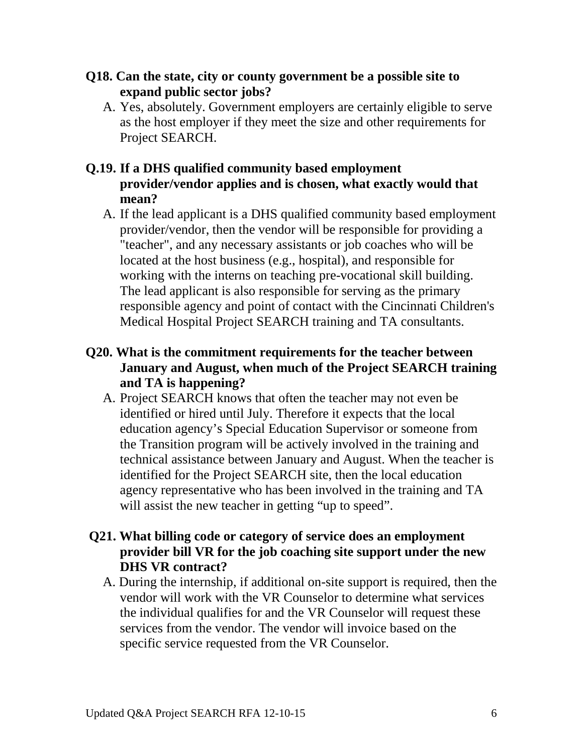- **Q18. Can the state, city or county government be a possible site to expand public sector jobs?** 
	- A. Yes, absolutely. Government employers are certainly eligible to serve as the host employer if they meet the size and other requirements for Project SEARCH.

# **Q.19. If a DHS qualified community based employment provider/vendor applies and is chosen, what exactly would that mean?**

- A. If the lead applicant is a DHS qualified community based employment provider/vendor, then the vendor will be responsible for providing a "teacher", and any necessary assistants or job coaches who will be located at the host business (e.g., hospital), and responsible for working with the interns on teaching pre-vocational skill building. The lead applicant is also responsible for serving as the primary responsible agency and point of contact with the Cincinnati Children's Medical Hospital Project SEARCH training and TA consultants.
- **Q20. What is the commitment requirements for the teacher between January and August, when much of the Project SEARCH training and TA is happening?** 
	- A. Project SEARCH knows that often the teacher may not even be identified or hired until July. Therefore it expects that the local education agency's Special Education Supervisor or someone from the Transition program will be actively involved in the training and technical assistance between January and August. When the teacher is identified for the Project SEARCH site, then the local education agency representative who has been involved in the training and TA will assist the new teacher in getting "up to speed".
- **Q21. What billing code or category of service does an employment provider bill VR for the job coaching site support under the new DHS VR contract?** 
	- A. During the internship, if additional on-site support is required, then the vendor will work with the VR Counselor to determine what services the individual qualifies for and the VR Counselor will request these services from the vendor. The vendor will invoice based on the specific service requested from the VR Counselor.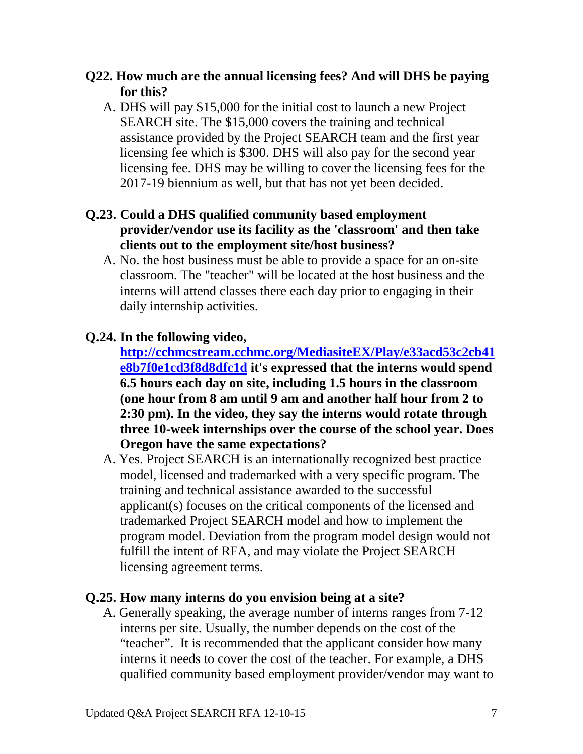- **Q22. How much are the annual licensing fees? And will DHS be paying for this?**
	- A. DHS will pay \$15,000 for the initial cost to launch a new Project SEARCH site. The \$15,000 covers the training and technical assistance provided by the Project SEARCH team and the first year licensing fee which is \$300. DHS will also pay for the second year licensing fee. DHS may be willing to cover the licensing fees for the 2017-19 biennium as well, but that has not yet been decided.
- **Q.23. Could a DHS qualified community based employment provider/vendor use its facility as the 'classroom' and then take clients out to the employment site/host business?** 
	- A. No. the host business must be able to provide a space for an on-site classroom. The "teacher" will be located at the host business and the interns will attend classes there each day prior to engaging in their daily internship activities.

# **Q.24. In the following video,**

**http://cchmcstream.cchmc.org/MediasiteEX/Play/e33acd53c2cb41 e8b7f0e1cd3f8d8dfc1d it's expressed that the interns would spend 6.5 hours each day on site, including 1.5 hours in the classroom (one hour from 8 am until 9 am and another half hour from 2 to 2:30 pm). In the video, they say the interns would rotate through three 10-week internships over the course of the school year. Does Oregon have the same expectations?** 

A. Yes. Project SEARCH is an internationally recognized best practice model, licensed and trademarked with a very specific program. The training and technical assistance awarded to the successful applicant(s) focuses on the critical components of the licensed and trademarked Project SEARCH model and how to implement the program model. Deviation from the program model design would not fulfill the intent of RFA, and may violate the Project SEARCH licensing agreement terms.

#### **Q.25. How many interns do you envision being at a site?**

A. Generally speaking, the average number of interns ranges from 7-12 interns per site. Usually, the number depends on the cost of the "teacher". It is recommended that the applicant consider how many interns it needs to cover the cost of the teacher. For example, a DHS qualified community based employment provider/vendor may want to